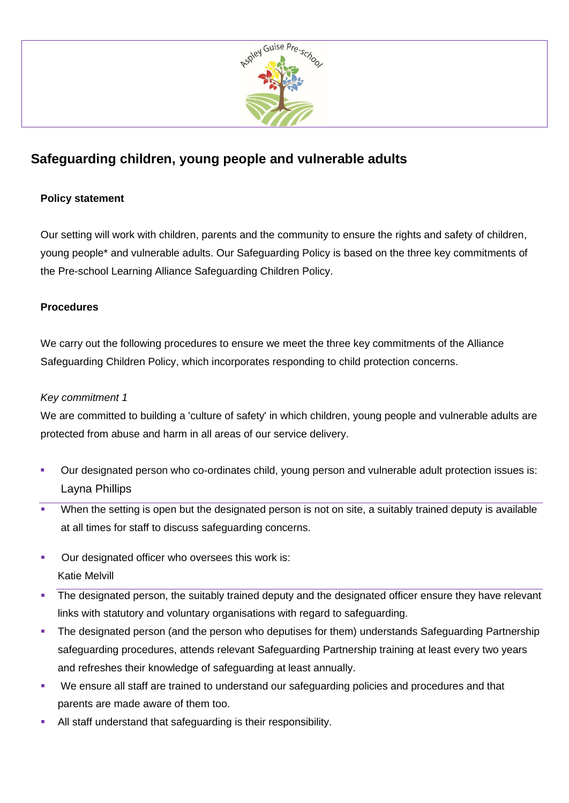

# **Safeguarding children, young people and vulnerable adults**

## **Policy statement**

Our setting will work with children, parents and the community to ensure the rights and safety of children, young people\* and vulnerable adults. Our Safeguarding Policy is based on the three key commitments of the Pre-school Learning Alliance Safeguarding Children Policy.

## **Procedures**

We carry out the following procedures to ensure we meet the three key commitments of the Alliance Safeguarding Children Policy, which incorporates responding to child protection concerns.

#### *Key commitment 1*

We are committed to building a 'culture of safety' in which children, young people and vulnerable adults are protected from abuse and harm in all areas of our service delivery.

- Our designated person who co-ordinates child, young person and vulnerable adult protection issues is: Layna Phillips
- When the setting is open but the designated person is not on site, a suitably trained deputy is available at all times for staff to discuss safeguarding concerns.
- Our designated officer who oversees this work is: Katie Melvill
- **•** The designated person, the suitably trained deputy and the designated officer ensure they have relevant links with statutory and voluntary organisations with regard to safeguarding.
- **•** The designated person (and the person who deputises for them) understands Safeguarding Partnership safeguarding procedures, attends relevant Safeguarding Partnership training at least every two years and refreshes their knowledge of safeguarding at least annually.
- We ensure all staff are trained to understand our safeguarding policies and procedures and that parents are made aware of them too.
- **EXECUTE:** All staff understand that safeguarding is their responsibility.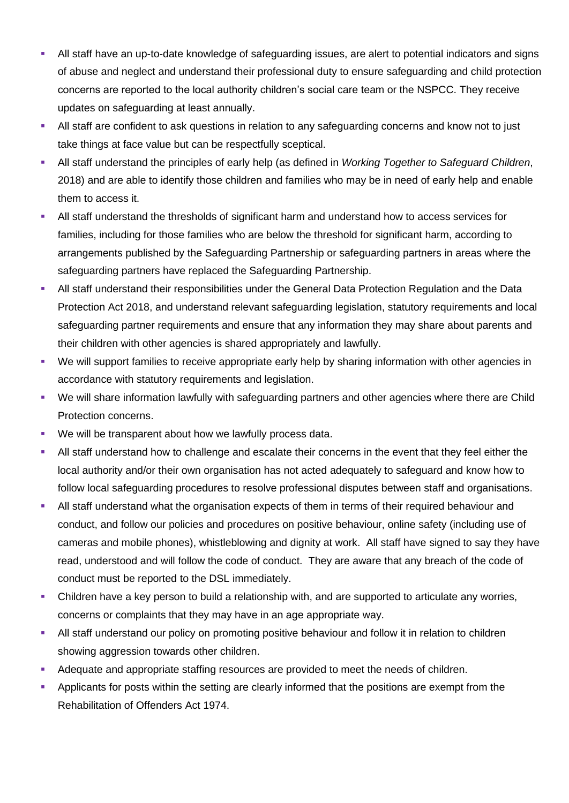- All staff have an up-to-date knowledge of safeguarding issues, are alert to potential indicators and signs of abuse and neglect and understand their professional duty to ensure safeguarding and child protection concerns are reported to the local authority children's social care team or the NSPCC. They receive updates on safeguarding at least annually.
- All staff are confident to ask questions in relation to any safeguarding concerns and know not to just take things at face value but can be respectfully sceptical.
- All staff understand the principles of early help (as defined in *Working Together to Safeguard Children*, 2018) and are able to identify those children and families who may be in need of early help and enable them to access it.
- All staff understand the thresholds of significant harm and understand how to access services for families, including for those families who are below the threshold for significant harm, according to arrangements published by the Safeguarding Partnership or safeguarding partners in areas where the safeguarding partners have replaced the Safeguarding Partnership.
- All staff understand their responsibilities under the General Data Protection Regulation and the Data Protection Act 2018, and understand relevant safeguarding legislation, statutory requirements and local safeguarding partner requirements and ensure that any information they may share about parents and their children with other agencies is shared appropriately and lawfully.
- We will support families to receive appropriate early help by sharing information with other agencies in accordance with statutory requirements and legislation.
- We will share information lawfully with safeguarding partners and other agencies where there are Child Protection concerns.
- We will be transparent about how we lawfully process data.
- **EXECT** All staff understand how to challenge and escalate their concerns in the event that they feel either the local authority and/or their own organisation has not acted adequately to safeguard and know how to follow local safeguarding procedures to resolve professional disputes between staff and organisations.
- All staff understand what the organisation expects of them in terms of their required behaviour and conduct, and follow our policies and procedures on positive behaviour, online safety (including use of cameras and mobile phones), whistleblowing and dignity at work. All staff have signed to say they have read, understood and will follow the code of conduct. They are aware that any breach of the code of conduct must be reported to the DSL immediately.
- Children have a key person to build a relationship with, and are supported to articulate any worries, concerns or complaints that they may have in an age appropriate way.
- **EXTENDING THE STARF IN STARF IN STARF IN STARF IN STARF IN STARF IN STARF IN STARF IN STARF IN STARF IN STARF I** showing aggression towards other children.
- Adequate and appropriate staffing resources are provided to meet the needs of children.
- **•** Applicants for posts within the setting are clearly informed that the positions are exempt from the Rehabilitation of Offenders Act 1974.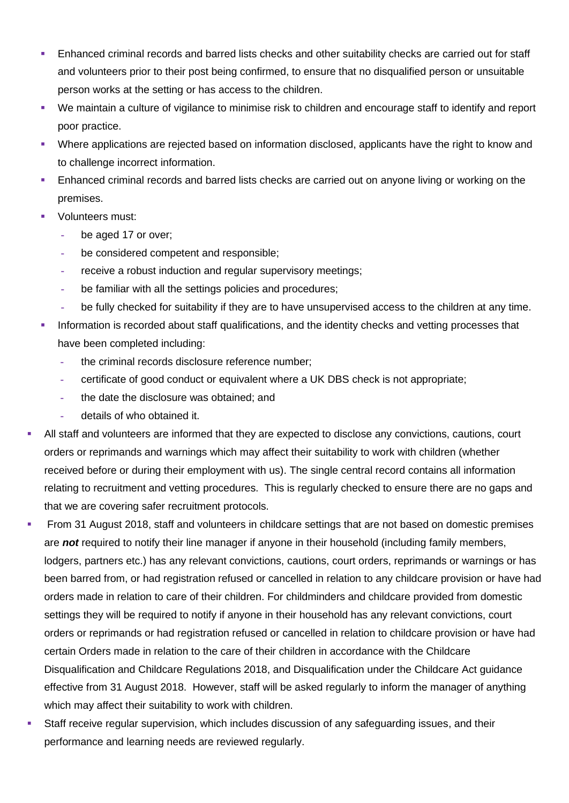- **Enhanced criminal records and barred lists checks and other suitability checks are carried out for staff** and volunteers prior to their post being confirmed, to ensure that no disqualified person or unsuitable person works at the setting or has access to the children.
- We maintain a culture of vigilance to minimise risk to children and encourage staff to identify and report poor practice.
- Where applications are rejected based on information disclosed, applicants have the right to know and to challenge incorrect information.
- **Enhanced criminal records and barred lists checks are carried out on anyone living or working on the** premises.
- Volunteers must:
	- **-** be aged 17 or over;
	- **-** be considered competent and responsible;
	- **-** receive a robust induction and regular supervisory meetings;
	- **-** be familiar with all the settings policies and procedures;
	- **-** be fully checked for suitability if they are to have unsupervised access to the children at any time.
- **·** Information is recorded about staff qualifications, and the identity checks and vetting processes that have been completed including:
	- **-** the criminal records disclosure reference number;
	- **-** certificate of good conduct or equivalent where a UK DBS check is not appropriate;
	- **-** the date the disclosure was obtained; and
	- **-** details of who obtained it.
- All staff and volunteers are informed that they are expected to disclose any convictions, cautions, court orders or reprimands and warnings which may affect their suitability to work with children (whether received before or during their employment with us). The single central record contains all information relating to recruitment and vetting procedures. This is regularly checked to ensure there are no gaps and that we are covering safer recruitment protocols.
- From 31 August 2018, staff and volunteers in childcare settings that are not based on domestic premises are *not* required to notify their line manager if anyone in their household (including family members, lodgers, partners etc.) has any relevant convictions, cautions, court orders, reprimands or warnings or has been barred from, or had registration refused or cancelled in relation to any childcare provision or have had orders made in relation to care of their children. For childminders and childcare provided from domestic settings they will be required to notify if anyone in their household has any relevant convictions, court orders or reprimands or had registration refused or cancelled in relation to childcare provision or have had certain Orders made in relation to the care of their children in accordance with the Childcare Disqualification and Childcare Regulations 2018, and Disqualification under the Childcare Act guidance effective from 31 August 2018. However, staff will be asked regularly to inform the manager of anything which may affect their suitability to work with children.
- Staff receive regular supervision, which includes discussion of any safeguarding issues, and their performance and learning needs are reviewed regularly.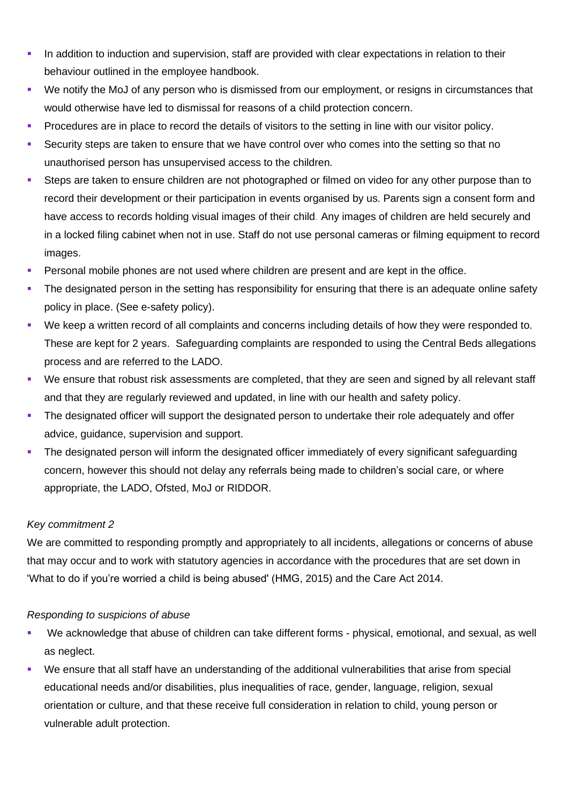- **•** In addition to induction and supervision, staff are provided with clear expectations in relation to their behaviour outlined in the employee handbook.
- We notify the MoJ of any person who is dismissed from our employment, or resigns in circumstances that would otherwise have led to dismissal for reasons of a child protection concern.
- Procedures are in place to record the details of visitors to the setting in line with our visitor policy.
- Security steps are taken to ensure that we have control over who comes into the setting so that no unauthorised person has unsupervised access to the children.
- Steps are taken to ensure children are not photographed or filmed on video for any other purpose than to record their development or their participation in events organised by us. Parents sign a consent form and have access to records holding visual images of their child. Any images of children are held securely and in a locked filing cabinet when not in use. Staff do not use personal cameras or filming equipment to record images.
- Personal mobile phones are not used where children are present and are kept in the office.
- The designated person in the setting has responsibility for ensuring that there is an adequate online safety policy in place. (See e-safety policy).
- We keep a written record of all complaints and concerns including details of how they were responded to. These are kept for 2 years. Safeguarding complaints are responded to using the Central Beds allegations process and are referred to the LADO.
- We ensure that robust risk assessments are completed, that they are seen and signed by all relevant staff and that they are regularly reviewed and updated, in line with our health and safety policy.
- **•** The designated officer will support the designated person to undertake their role adequately and offer advice, guidance, supervision and support.
- **•** The designated person will inform the designated officer immediately of every significant safeguarding concern, however this should not delay any referrals being made to children's social care, or where appropriate, the LADO, Ofsted, MoJ or RIDDOR.

#### *Key commitment 2*

We are committed to responding promptly and appropriately to all incidents, allegations or concerns of abuse that may occur and to work with statutory agencies in accordance with the procedures that are set down in 'What to do if you're worried a child is being abused' (HMG, 2015) and the Care Act 2014.

#### *Responding to suspicions of abuse*

- We acknowledge that abuse of children can take different forms physical, emotional, and sexual, as well as neglect.
- We ensure that all staff have an understanding of the additional vulnerabilities that arise from special educational needs and/or disabilities, plus inequalities of race, gender, language, religion, sexual orientation or culture, and that these receive full consideration in relation to child, young person or vulnerable adult protection.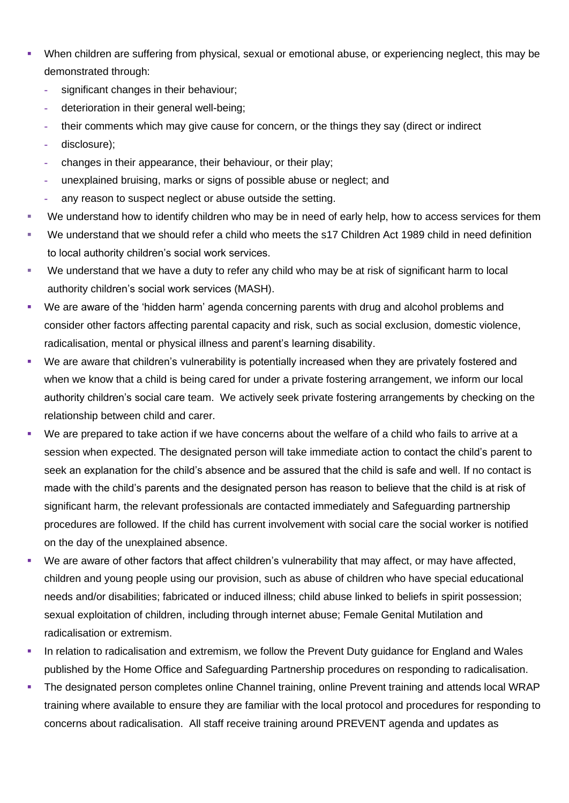- When children are suffering from physical, sexual or emotional abuse, or experiencing neglect, this may be demonstrated through:
	- **-** significant changes in their behaviour;
	- **-** deterioration in their general well-being;
	- **-** their comments which may give cause for concern, or the things they say (direct or indirect
	- **-** disclosure);
	- **-** changes in their appearance, their behaviour, or their play;
	- **-** unexplained bruising, marks or signs of possible abuse or neglect; and
	- **-** any reason to suspect neglect or abuse outside the setting.
- We understand how to identify children who may be in need of early help, how to access services for them
- We understand that we should refer a child who meets the s17 Children Act 1989 child in need definition to local authority children's social work services.
- We understand that we have a duty to refer any child who may be at risk of significant harm to local authority children's social work services (MASH).
- We are aware of the 'hidden harm' agenda concerning parents with drug and alcohol problems and consider other factors affecting parental capacity and risk, such as social exclusion, domestic violence, radicalisation, mental or physical illness and parent's learning disability.
- We are aware that children's vulnerability is potentially increased when they are privately fostered and when we know that a child is being cared for under a private fostering arrangement, we inform our local authority children's social care team. We actively seek private fostering arrangements by checking on the relationship between child and carer.
- We are prepared to take action if we have concerns about the welfare of a child who fails to arrive at a session when expected. The designated person will take immediate action to contact the child's parent to seek an explanation for the child's absence and be assured that the child is safe and well. If no contact is made with the child's parents and the designated person has reason to believe that the child is at risk of significant harm, the relevant professionals are contacted immediately and Safeguarding partnership procedures are followed. If the child has current involvement with social care the social worker is notified on the day of the unexplained absence.
- We are aware of other factors that affect children's vulnerability that may affect, or may have affected, children and young people using our provision, such as abuse of children who have special educational needs and/or disabilities; fabricated or induced illness; child abuse linked to beliefs in spirit possession; sexual exploitation of children, including through internet abuse; Female Genital Mutilation and radicalisation or extremism.
- In relation to radicalisation and extremism, we follow the Prevent Duty guidance for England and Wales published by the Home Office and Safeguarding Partnership procedures on responding to radicalisation.
- The designated person completes online Channel training, online Prevent training and attends local WRAP training where available to ensure they are familiar with the local protocol and procedures for responding to concerns about radicalisation. All staff receive training around PREVENT agenda and updates as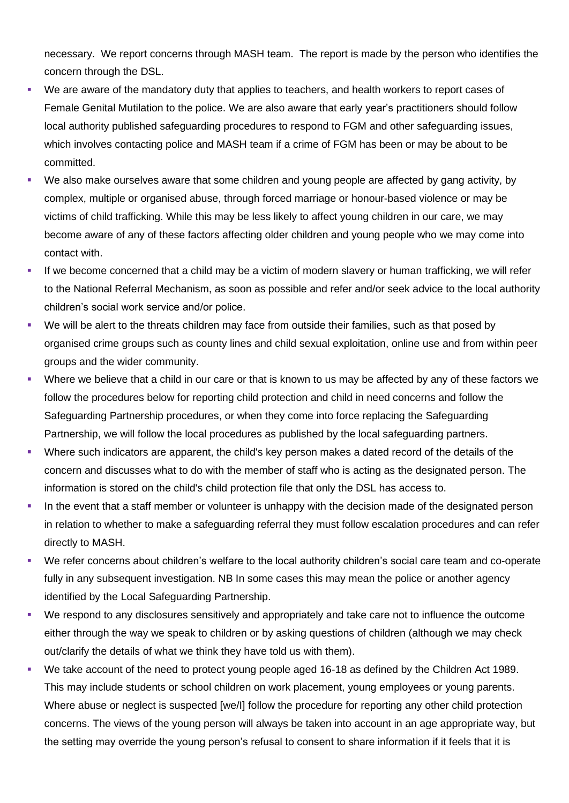necessary. We report concerns through MASH team. The report is made by the person who identifies the concern through the DSL.

- We are aware of the mandatory duty that applies to teachers, and health workers to report cases of Female Genital Mutilation to the police. We are also aware that early year's practitioners should follow local authority published safeguarding procedures to respond to FGM and other safeguarding issues, which involves contacting police and MASH team if a crime of FGM has been or may be about to be committed.
- We also make ourselves aware that some children and young people are affected by gang activity, by complex, multiple or organised abuse, through forced marriage or honour-based violence or may be victims of child trafficking. While this may be less likely to affect young children in our care, we may become aware of any of these factors affecting older children and young people who we may come into contact with.
- If we become concerned that a child may be a victim of modern slavery or human trafficking, we will refer to the National Referral Mechanism, as soon as possible and refer and/or seek advice to the local authority children's social work service and/or police.
- We will be alert to the threats children may face from outside their families, such as that posed by organised crime groups such as county lines and child sexual exploitation, online use and from within peer groups and the wider community.
- Where we believe that a child in our care or that is known to us may be affected by any of these factors we follow the procedures below for reporting child protection and child in need concerns and follow the Safeguarding Partnership procedures, or when they come into force replacing the Safeguarding Partnership, we will follow the local procedures as published by the local safeguarding partners.
- Where such indicators are apparent, the child's key person makes a dated record of the details of the concern and discusses what to do with the member of staff who is acting as the designated person. The information is stored on the child's child protection file that only the DSL has access to.
- In the event that a staff member or volunteer is unhappy with the decision made of the designated person in relation to whether to make a safeguarding referral they must follow escalation procedures and can refer directly to MASH.
- We refer concerns about children's welfare to the local authority children's social care team and co-operate fully in any subsequent investigation. NB In some cases this may mean the police or another agency identified by the Local Safeguarding Partnership.
- We respond to any disclosures sensitively and appropriately and take care not to influence the outcome either through the way we speak to children or by asking questions of children (although we may check out/clarify the details of what we think they have told us with them).
- We take account of the need to protect young people aged 16-18 as defined by the Children Act 1989. This may include students or school children on work placement, young employees or young parents. Where abuse or neglect is suspected [we/I] follow the procedure for reporting any other child protection concerns. The views of the young person will always be taken into account in an age appropriate way, but the setting may override the young person's refusal to consent to share information if it feels that it is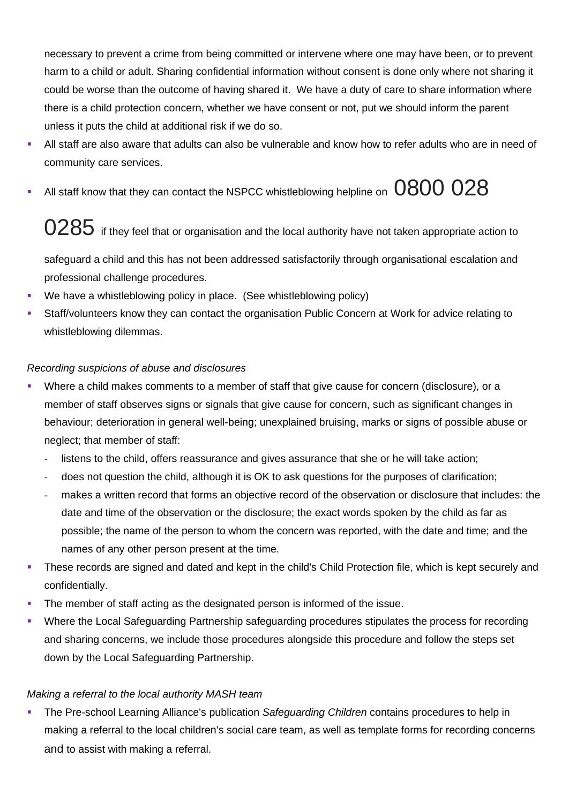necessary to prevent a crime from being committed or intervene where one may have been, or to prevent harm to a child or adult. Sharing confidential information without consent is done only where not sharing it could be worse than the outcome of having shared it. We have a duty of care to share information where there is a child protection concern, whether we have consent or not, put we should inform the parent unless it puts the child at additional risk if we do so.

- All staff are also aware that adults can also be vulnerable and know how to refer adults who are in need of community care services.
- $\bullet$  All staff know that they can contact the NSPCC whistleblowing helpline on  $\,0800\;028$

# $0285\,$  if they feel that or organisation and the local authority have not taken appropriate action to

safeguard a child and this has not been addressed satisfactorily through organisational escalation and professional challenge procedures.

- We have a whistleblowing policy in place. (See whistleblowing policy)
- Staff/volunteers know they can contact the organisation Public Concern at Work for advice relating to whistleblowing dilemmas.

# *Recording suspicions of abuse and disclosures*

- Where a child makes comments to a member of staff that give cause for concern (disclosure), or a member of staff observes signs or signals that give cause for concern, such as significant changes in behaviour; deterioration in general well-being; unexplained bruising, marks or signs of possible abuse or neglect; that member of staff:
	- **-** listens to the child, offers reassurance and gives assurance that she or he will take action;
	- **-** does not question the child, although it is OK to ask questions for the purposes of clarification;
	- **-** makes a written record that forms an objective record of the observation or disclosure that includes: the date and time of the observation or the disclosure; the exact words spoken by the child as far as possible; the name of the person to whom the concern was reported, with the date and time; and the names of any other person present at the time.
- **•** These records are signed and dated and kept in the child's Child Protection file, which is kept securely and confidentially.
- The member of staff acting as the designated person is informed of the issue.
- Where the Local Safeguarding Partnership safeguarding procedures stipulates the process for recording and sharing concerns, we include those procedures alongside this procedure and follow the steps set down by the Local Safeguarding Partnership.

# *Making a referral to the local authority MASH team*

The Pre-school Learning Alliance's publication Safeguarding Children contains procedures to help in making a referral to the local children's social care team, as well as template forms for recording concerns and to assist with making a referral.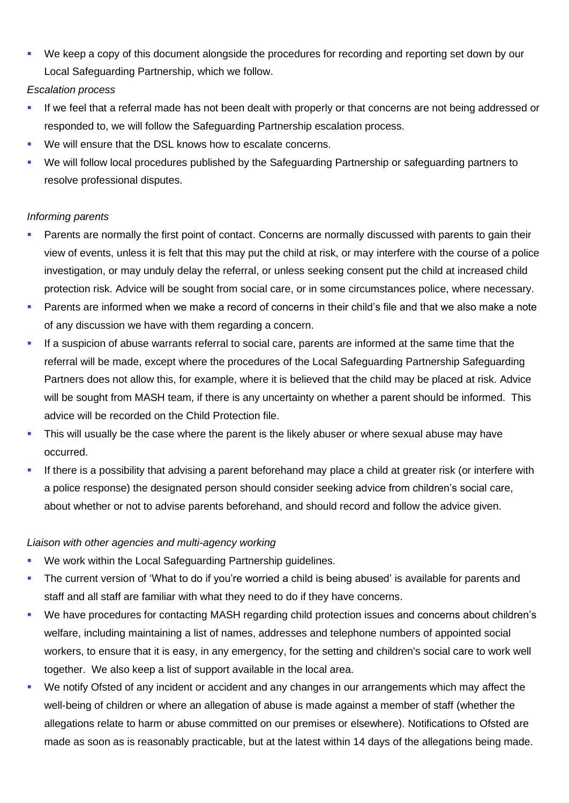■ We keep a copy of this document alongside the procedures for recording and reporting set down by our Local Safeguarding Partnership, which we follow.

#### *Escalation process*

- If we feel that a referral made has not been dealt with properly or that concerns are not being addressed or responded to, we will follow the Safeguarding Partnership escalation process.
- We will ensure that the DSL knows how to escalate concerns.
- We will follow local procedures published by the Safeguarding Partnership or safeguarding partners to resolve professional disputes.

#### *Informing parents*

- Parents are normally the first point of contact. Concerns are normally discussed with parents to gain their view of events, unless it is felt that this may put the child at risk, or may interfere with the course of a police investigation, or may unduly delay the referral, or unless seeking consent put the child at increased child protection risk. Advice will be sought from social care, or in some circumstances police, where necessary.
- Parents are informed when we make a record of concerns in their child's file and that we also make a note of any discussion we have with them regarding a concern.
- If a suspicion of abuse warrants referral to social care, parents are informed at the same time that the referral will be made, except where the procedures of the Local Safeguarding Partnership Safeguarding Partners does not allow this, for example, where it is believed that the child may be placed at risk. Advice will be sought from MASH team, if there is any uncertainty on whether a parent should be informed. This advice will be recorded on the Child Protection file.
- This will usually be the case where the parent is the likely abuser or where sexual abuse may have occurred.
- If there is a possibility that advising a parent beforehand may place a child at greater risk (or interfere with a police response) the designated person should consider seeking advice from children's social care, about whether or not to advise parents beforehand, and should record and follow the advice given.

#### *Liaison with other agencies and multi-agency working*

- We work within the Local Safeguarding Partnership guidelines.
- The current version of 'What to do if you're worried a child is being abused' is available for parents and staff and all staff are familiar with what they need to do if they have concerns.
- We have procedures for contacting MASH regarding child protection issues and concerns about children's welfare, including maintaining a list of names, addresses and telephone numbers of appointed social workers, to ensure that it is easy, in any emergency, for the setting and children's social care to work well together. We also keep a list of support available in the local area.
- We notify Ofsted of any incident or accident and any changes in our arrangements which may affect the well-being of children or where an allegation of abuse is made against a member of staff (whether the allegations relate to harm or abuse committed on our premises or elsewhere). Notifications to Ofsted are made as soon as is reasonably practicable, but at the latest within 14 days of the allegations being made.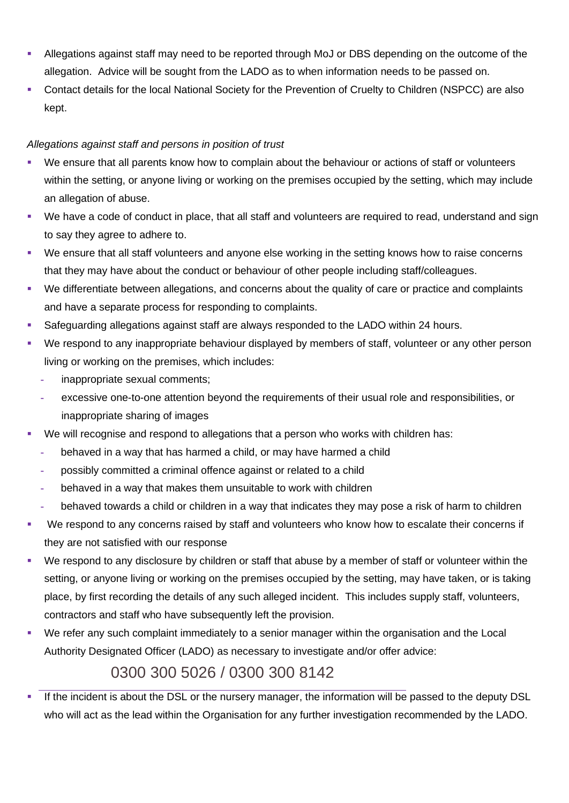- Allegations against staff may need to be reported through MoJ or DBS depending on the outcome of the allegation. Advice will be sought from the LADO as to when information needs to be passed on.
- Contact details for the local National Society for the Prevention of Cruelty to Children (NSPCC) are also kept.

# *Allegations against staff and persons in position of trust*

- We ensure that all parents know how to complain about the behaviour or actions of staff or volunteers within the setting, or anyone living or working on the premises occupied by the setting, which may include an allegation of abuse.
- We have a code of conduct in place, that all staff and volunteers are required to read, understand and sign to say they agree to adhere to.
- We ensure that all staff volunteers and anyone else working in the setting knows how to raise concerns that they may have about the conduct or behaviour of other people including staff/colleagues.
- We differentiate between allegations, and concerns about the quality of care or practice and complaints and have a separate process for responding to complaints.
- Safeguarding allegations against staff are always responded to the LADO within 24 hours.
- We respond to any inappropriate behaviour displayed by members of staff, volunteer or any other person living or working on the premises, which includes:
	- **-** inappropriate sexual comments;
	- **-** excessive one-to-one attention beyond the requirements of their usual role and responsibilities, or inappropriate sharing of images
- We will recognise and respond to allegations that a person who works with children has:
	- **-** behaved in a way that has harmed a child, or may have harmed a child
	- **-** possibly committed a criminal offence against or related to a child
	- **-** behaved in a way that makes them unsuitable to work with children
	- **-** behaved towards a child or children in a way that indicates they may pose a risk of harm to children
- We respond to any concerns raised by staff and volunteers who know how to escalate their concerns if they are not satisfied with our response
- We respond to any disclosure by children or staff that abuse by a member of staff or volunteer within the setting, or anyone living or working on the premises occupied by the setting, may have taken, or is taking place, by first recording the details of any such alleged incident. This includes supply staff, volunteers, contractors and staff who have subsequently left the provision.
- We refer any such complaint immediately to a senior manager within the organisation and the Local Authority Designated Officer (LADO) as necessary to investigate and/or offer advice:

# 0300 300 5026 / 0300 300 8142

If the incident is about the DSL or the nursery manager, the information will be passed to the deputy DSL who will act as the lead within the Organisation for any further investigation recommended by the LADO.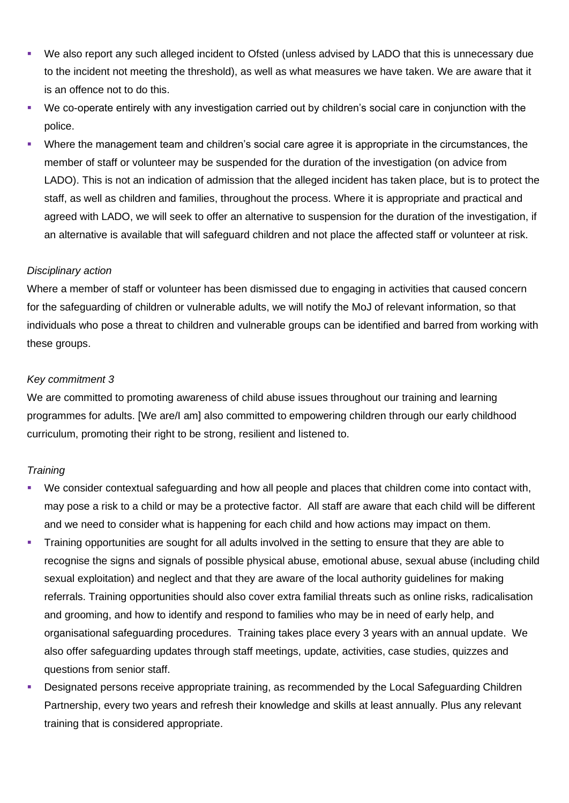- We also report any such alleged incident to Ofsted (unless advised by LADO that this is unnecessary due to the incident not meeting the threshold), as well as what measures we have taken. We are aware that it is an offence not to do this.
- We co-operate entirely with any investigation carried out by children's social care in conjunction with the police.
- Where the management team and children's social care agree it is appropriate in the circumstances, the member of staff or volunteer may be suspended for the duration of the investigation (on advice from LADO). This is not an indication of admission that the alleged incident has taken place, but is to protect the staff, as well as children and families, throughout the process. Where it is appropriate and practical and agreed with LADO, we will seek to offer an alternative to suspension for the duration of the investigation, if an alternative is available that will safeguard children and not place the affected staff or volunteer at risk.

#### *Disciplinary action*

Where a member of staff or volunteer has been dismissed due to engaging in activities that caused concern for the safeguarding of children or vulnerable adults, we will notify the MoJ of relevant information, so that individuals who pose a threat to children and vulnerable groups can be identified and barred from working with these groups.

#### *Key commitment 3*

We are committed to promoting awareness of child abuse issues throughout our training and learning programmes for adults. [We are/I am] also committed to empowering children through our early childhood curriculum, promoting their right to be strong, resilient and listened to.

#### *Training*

- We consider contextual safeguarding and how all people and places that children come into contact with, may pose a risk to a child or may be a protective factor. All staff are aware that each child will be different and we need to consider what is happening for each child and how actions may impact on them.
- **•** Training opportunities are sought for all adults involved in the setting to ensure that they are able to recognise the signs and signals of possible physical abuse, emotional abuse, sexual abuse (including child sexual exploitation) and neglect and that they are aware of the local authority guidelines for making referrals. Training opportunities should also cover extra familial threats such as online risks, radicalisation and grooming, and how to identify and respond to families who may be in need of early help, and organisational safeguarding procedures. Training takes place every 3 years with an annual update. We also offer safeguarding updates through staff meetings, update, activities, case studies, quizzes and questions from senior staff.
- Designated persons receive appropriate training, as recommended by the Local Safeguarding Children Partnership, every two years and refresh their knowledge and skills at least annually. Plus any relevant training that is considered appropriate.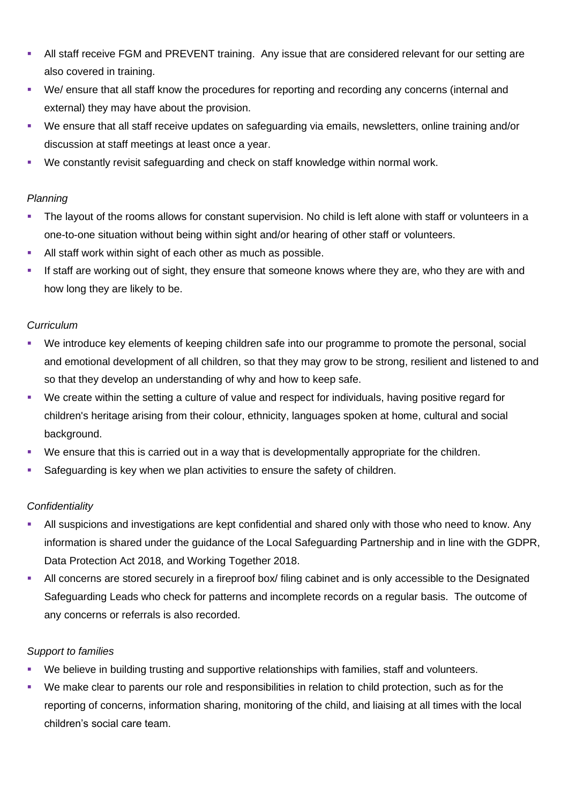- **EXTEND All staff receive FGM and PREVENT training. Any issue that are considered relevant for our setting are** also covered in training.
- We/ ensure that all staff know the procedures for reporting and recording any concerns (internal and external) they may have about the provision.
- We ensure that all staff receive updates on safeguarding via emails, newsletters, online training and/or discussion at staff meetings at least once a year.
- We constantly revisit safeguarding and check on staff knowledge within normal work.

#### *Planning*

- The layout of the rooms allows for constant supervision. No child is left alone with staff or volunteers in a one-to-one situation without being within sight and/or hearing of other staff or volunteers.
- **EXEL All staff work within sight of each other as much as possible.**
- If staff are working out of sight, they ensure that someone knows where they are, who they are with and how long they are likely to be.

## *Curriculum*

- We introduce key elements of keeping children safe into our programme to promote the personal, social and emotional development of all children, so that they may grow to be strong, resilient and listened to and so that they develop an understanding of why and how to keep safe.
- We create within the setting a culture of value and respect for individuals, having positive regard for children's heritage arising from their colour, ethnicity, languages spoken at home, cultural and social background.
- We ensure that this is carried out in a way that is developmentally appropriate for the children.
- Safeguarding is key when we plan activities to ensure the safety of children.

#### *Confidentiality*

- All suspicions and investigations are kept confidential and shared only with those who need to know. Any information is shared under the guidance of the Local Safeguarding Partnership and in line with the GDPR, Data Protection Act 2018, and Working Together 2018.
- All concerns are stored securely in a fireproof box/ filing cabinet and is only accessible to the Designated Safeguarding Leads who check for patterns and incomplete records on a regular basis. The outcome of any concerns or referrals is also recorded.

#### *Support to families*

- We believe in building trusting and supportive relationships with families, staff and volunteers.
- We make clear to parents our role and responsibilities in relation to child protection, such as for the reporting of concerns, information sharing, monitoring of the child, and liaising at all times with the local children's social care team.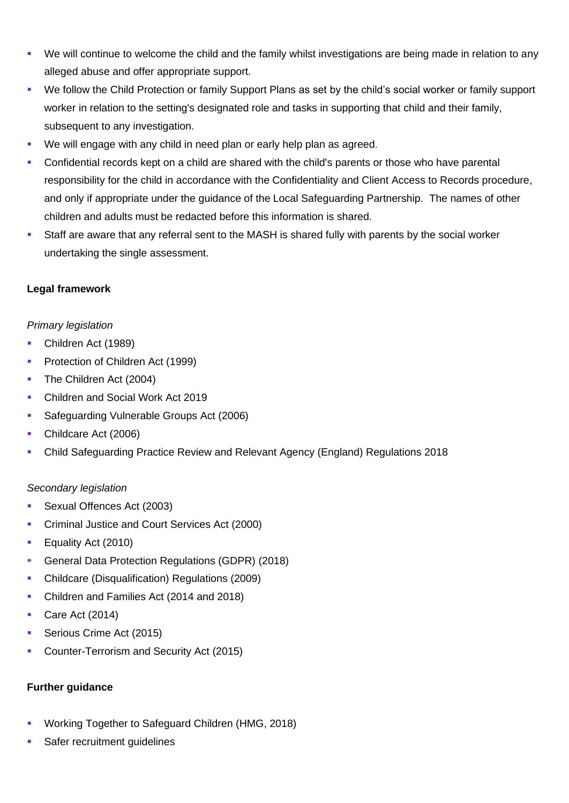- We will continue to welcome the child and the family whilst investigations are being made in relation to any alleged abuse and offer appropriate support.
- We follow the Child Protection or family Support Plans as set by the child's social worker or family support worker in relation to the setting's designated role and tasks in supporting that child and their family, subsequent to any investigation.
- We will engage with any child in need plan or early help plan as agreed.
- Confidential records kept on a child are shared with the child's parents or those who have parental responsibility for the child in accordance with the Confidentiality and Client Access to Records procedure, and only if appropriate under the guidance of the Local Safeguarding Partnership. The names of other children and adults must be redacted before this information is shared.
- Staff are aware that any referral sent to the MASH is shared fully with parents by the social worker undertaking the single assessment.

#### **Legal framework**

#### *Primary legislation*

- Children Act (1989)
- Protection of Children Act (1999)
- The Children Act (2004)
- Children and Social Work Act 2019
- Safeguarding Vulnerable Groups Act (2006)
- Childcare Act (2006)
- Child Safeguarding Practice Review and Relevant Agency (England) Regulations 2018

#### *Secondary legislation*

- Sexual Offences Act (2003)
- Criminal Justice and Court Services Act (2000)
- Equality Act (2010)
- General Data Protection Regulations (GDPR) (2018)
- Childcare (Disqualification) Regulations (2009)
- Children and Families Act (2014 and 2018)
- Care Act (2014)
- **Serious Crime Act (2015)**
- **Counter-Terrorism and Security Act (2015)**

#### **Further guidance**

- Working Together to Safeguard Children (HMG, 2018)
- Safer recruitment guidelines